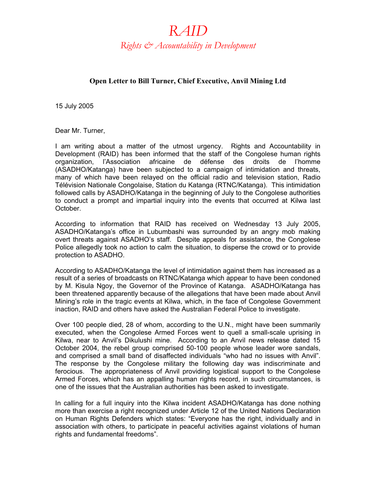## *RAID Rights & Accountability in Development*

## **Open Letter to Bill Turner, Chief Executive, Anvil Mining Ltd**

15 July 2005

Dear Mr. Turner,

I am writing about a matter of the utmost urgency. Rights and Accountability in Development (RAID) has been informed that the staff of the Congolese human rights organization, l'Association africaine de défense des droits de l'homme (ASADHO/Katanga) have been subjected to a campaign of intimidation and threats, many of which have been relayed on the official radio and television station, Radio Télévision Nationale Congolaise, Station du Katanga (RTNC/Katanga). This intimidation followed calls by ASADHO/Katanga in the beginning of July to the Congolese authorities to conduct a prompt and impartial inquiry into the events that occurred at Kilwa last October.

According to information that RAID has received on Wednesday 13 July 2005, ASADHO/Katanga's office in Lubumbashi was surrounded by an angry mob making overt threats against ASADHO's staff. Despite appeals for assistance, the Congolese Police allegedly took no action to calm the situation, to disperse the crowd or to provide protection to ASADHO.

According to ASADHO/Katanga the level of intimidation against them has increased as a result of a series of broadcasts on RTNC/Katanga which appear to have been condoned by M. Kisula Ngoy, the Governor of the Province of Katanga. ASADHO/Katanga has been threatened apparently because of the allegations that have been made about Anvil Mining's role in the tragic events at Kilwa, which, in the face of Congolese Government inaction, RAID and others have asked the Australian Federal Police to investigate.

Over 100 people died, 28 of whom, according to the U.N., might have been summarily executed, when the Congolese Armed Forces went to quell a small-scale uprising in Kilwa, near to Anvil's Dikulushi mine. According to an Anvil news release dated 15 October 2004, the rebel group comprised 50-100 people whose leader wore sandals, and comprised a small band of disaffected individuals "who had no issues with Anvil". The response by the Congolese military the following day was indiscriminate and ferocious. The appropriateness of Anvil providing logistical support to the Congolese Armed Forces, which has an appalling human rights record, in such circumstances, is one of the issues that the Australian authorities has been asked to investigate.

In calling for a full inquiry into the Kilwa incident ASADHO/Katanga has done nothing more than exercise a right recognized under Article 12 of the United Nations Declaration on Human Rights Defenders which states: "Everyone has the right, individually and in association with others, to participate in peaceful activities against violations of human rights and fundamental freedoms".